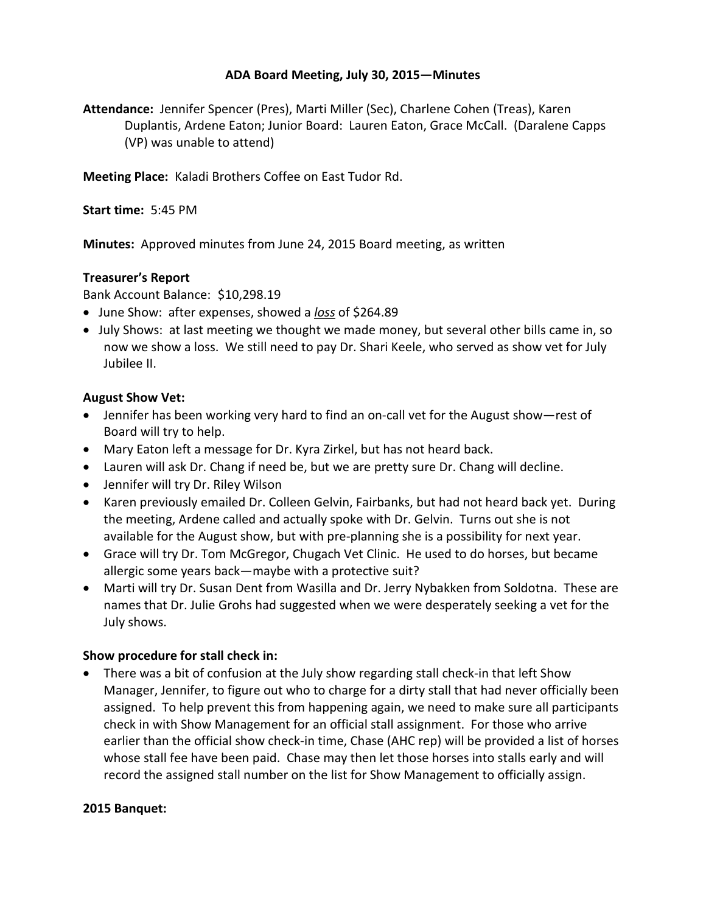## **ADA Board Meeting, July 30, 2015—Minutes**

**Attendance:** Jennifer Spencer (Pres), Marti Miller (Sec), Charlene Cohen (Treas), Karen Duplantis, Ardene Eaton; Junior Board: Lauren Eaton, Grace McCall. (Daralene Capps (VP) was unable to attend)

**Meeting Place:** Kaladi Brothers Coffee on East Tudor Rd.

**Start time:** 5:45 PM

**Minutes:** Approved minutes from June 24, 2015 Board meeting, as written

## **Treasurer's Report**

Bank Account Balance: \$10,298.19

- June Show: after expenses, showed a *loss* of \$264.89
- July Shows: at last meeting we thought we made money, but several other bills came in, so now we show a loss. We still need to pay Dr. Shari Keele, who served as show vet for July Jubilee II.

## **August Show Vet:**

- Jennifer has been working very hard to find an on-call vet for the August show—rest of Board will try to help.
- Mary Eaton left a message for Dr. Kyra Zirkel, but has not heard back.
- Lauren will ask Dr. Chang if need be, but we are pretty sure Dr. Chang will decline.
- Jennifer will try Dr. Riley Wilson
- Karen previously emailed Dr. Colleen Gelvin, Fairbanks, but had not heard back yet. During the meeting, Ardene called and actually spoke with Dr. Gelvin. Turns out she is not available for the August show, but with pre-planning she is a possibility for next year.
- Grace will try Dr. Tom McGregor, Chugach Vet Clinic. He used to do horses, but became allergic some years back—maybe with a protective suit?
- Marti will try Dr. Susan Dent from Wasilla and Dr. Jerry Nybakken from Soldotna. These are names that Dr. Julie Grohs had suggested when we were desperately seeking a vet for the July shows.

## **Show procedure for stall check in:**

• There was a bit of confusion at the July show regarding stall check-in that left Show Manager, Jennifer, to figure out who to charge for a dirty stall that had never officially been assigned. To help prevent this from happening again, we need to make sure all participants check in with Show Management for an official stall assignment. For those who arrive earlier than the official show check-in time, Chase (AHC rep) will be provided a list of horses whose stall fee have been paid. Chase may then let those horses into stalls early and will record the assigned stall number on the list for Show Management to officially assign.

#### **2015 Banquet:**